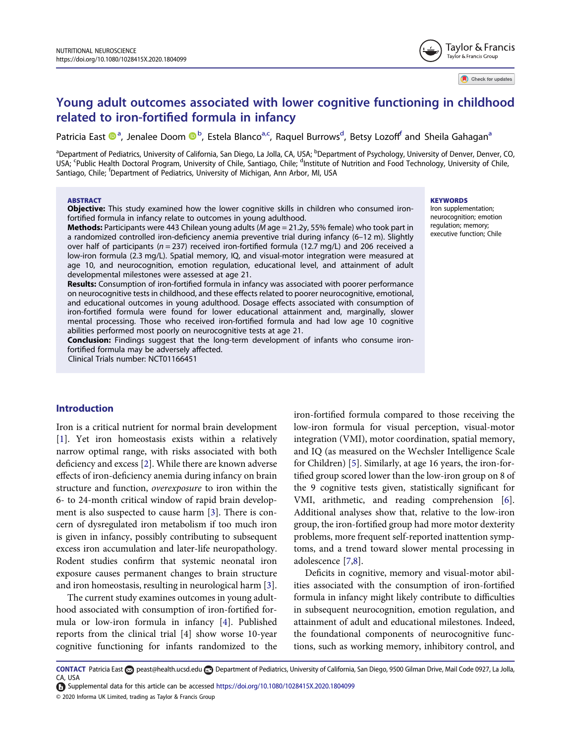# Young adult outcomes associated with lower cognitive functioning in childhood related to iron-fortified formula in infancy

Patricia East  $\bigcirc$ <sup>a</sup>, Jenalee Doom  $\bigcirc$ <sup>b</sup>, Estela Blanco<sup>a,c</sup>, Raquel Burrows<sup>d</sup>, Betsy Lozoff<sup>f</sup> and Sheila Gahagan<sup>a</sup>

<sup>a</sup>Department of Pediatrics, University of California, San Diego, La Jolla, CA, USA; <sup>b</sup>Department of Psychology, University of Denver, Denver, CO, USA; <sup>c</sup>Public Health Doctoral Program, University of Chile, Santiago, Chile; <sup>d</sup>Institute of Nutrition and Food Technology, University of Chile, Santiago, Chile; <sup>f</sup>Department of Pediatrics, University of Michigan, Ann Arbor, MI, USA

#### **ABSTRACT**

**Objective:** This study examined how the lower cognitive skills in children who consumed ironfortified formula in infancy relate to outcomes in young adulthood.

Methods: Participants were 443 Chilean young adults (M age = 21.2y, 55% female) who took part in a randomized controlled iron-deficiency anemia preventive trial during infancy (6–12 m). Slightly over half of participants ( $n = 237$ ) received iron-fortified formula (12.7 mg/L) and 206 received a low-iron formula (2.3 mg/L). Spatial memory, IQ, and visual-motor integration were measured at age 10, and neurocognition, emotion regulation, educational level, and attainment of adult developmental milestones were assessed at age 21.

Results: Consumption of iron-fortified formula in infancy was associated with poorer performance on neurocognitive tests in childhood, and these effects related to poorer neurocognitive, emotional, and educational outcomes in young adulthood. Dosage effects associated with consumption of iron-fortified formula were found for lower educational attainment and, marginally, slower mental processing. Those who received iron-fortified formula and had low age 10 cognitive abilities performed most poorly on neurocognitive tests at age 21.

Conclusion: Findings suggest that the long-term development of infants who consume ironfortified formula may be adversely affected.

Clinical Trials number: NCT01166451

#### Introduction

Iron is a critical nutrient for normal brain development [1]. Yet iron homeostasis exists within a relatively narrow optimal range, with risks associated with both deficiency and excess [2]. While there are known adverse effects of iron-deficiency anemia during infancy on brain structure and function, overexposure to iron within the 6- to 24-month critical window of rapid brain development is also suspected to cause harm [3]. There is concern of dysregulated iron metabolism if too much iron is given in infancy, possibly contributing to subsequent excess iron accumulation and later-life neuropathology. Rodent studies confirm that systemic neonatal iron exposure causes permanent changes to brain structure and iron homeostasis, resulting in neurological harm [3].

The current study examines outcomes in young adulthood associated with consumption of iron-fortified formula or low-iron formula in infancy [4]. Published reports from the clinical trial [4] show worse 10-year cognitive functioning for infants randomized to the iron-fortified formula compared to those receiving the low-iron formula for visual perception, visual-motor integration (VMI), motor coordination, spatial memory, and IQ (as measured on the Wechsler Intelligence Scale for Children) [5]. Similarly, at age 16 years, the iron-fortified group scored lower than the low-iron group on 8 of the 9 cognitive tests given, statistically significant for VMI, arithmetic, and reading comprehension [6]. Additional analyses show that, relative to the low-iron group, the iron-fortified group had more motor dexterity problems, more frequent self-reported inattention symptoms, and a trend toward slower mental processing in adolescence [7,8].

Deficits in cognitive, memory and visual-motor abilities associated with the consumption of iron-fortified formula in infancy might likely contribute to difficulties in subsequent neurocognition, emotion regulation, and attainment of adult and educational milestones. Indeed, the foundational components of neurocognitive functions, such as working memory, inhibitory control, and

#### **KEYWORDS**

Iron supplementation; neurocognition; emotion regulation; memory; executive function; Chile

Check for updates

CONTACT Patricia East peast@health.ucsd.edu Department of Pediatrics, University of California, San Diego, 9500 Gilman Drive, Mail Code 0927, La Jolla, CA, USA

Supplemental data for this article can be accessed https://doi.org/10.1080/1028415X.2020.1804099

<sup>© 2020</sup> Informa UK Limited, trading as Taylor & Francis Group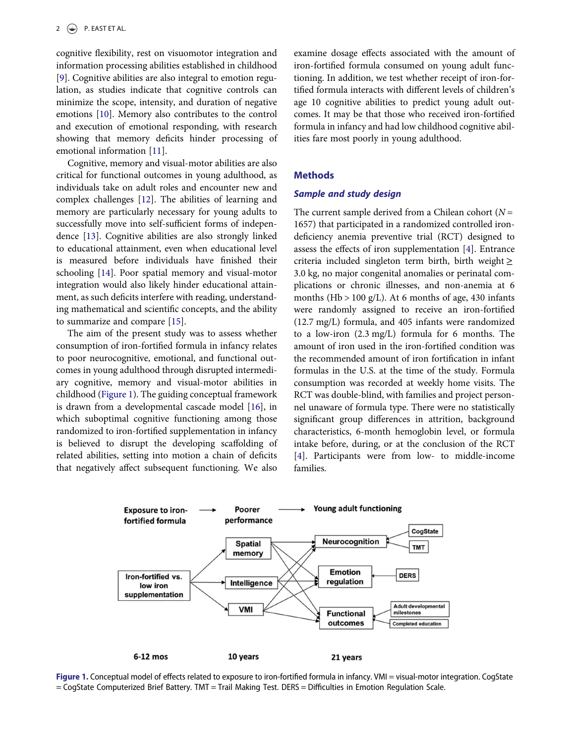cognitive flexibility, rest on visuomotor integration and information processing abilities established in childhood [9]. Cognitive abilities are also integral to emotion regulation, as studies indicate that cognitive controls can minimize the scope, intensity, and duration of negative emotions [10]. Memory also contributes to the control and execution of emotional responding, with research showing that memory deficits hinder processing of emotional information [11].

Cognitive, memory and visual-motor abilities are also critical for functional outcomes in young adulthood, as individuals take on adult roles and encounter new and complex challenges [12]. The abilities of learning and memory are particularly necessary for young adults to successfully move into self-sufficient forms of independence [13]. Cognitive abilities are also strongly linked to educational attainment, even when educational level is measured before individuals have finished their schooling [14]. Poor spatial memory and visual-motor integration would also likely hinder educational attainment, as such deficits interfere with reading, understanding mathematical and scientific concepts, and the ability to summarize and compare [15].

The aim of the present study was to assess whether consumption of iron-fortified formula in infancy relates to poor neurocognitive, emotional, and functional outcomes in young adulthood through disrupted intermediary cognitive, memory and visual-motor abilities in childhood (Figure 1). The guiding conceptual framework is drawn from a developmental cascade model [16], in which suboptimal cognitive functioning among those randomized to iron-fortified supplementation in infancy is believed to disrupt the developing scaffolding of related abilities, setting into motion a chain of deficits that negatively affect subsequent functioning. We also examine dosage effects associated with the amount of iron-fortified formula consumed on young adult functioning. In addition, we test whether receipt of iron-fortified formula interacts with different levels of children's age 10 cognitive abilities to predict young adult outcomes. It may be that those who received iron-fortified formula in infancy and had low childhood cognitive abilities fare most poorly in young adulthood.

## **Methods**

## Sample and study design

The current sample derived from a Chilean cohort ( $N =$ 1657) that participated in a randomized controlled irondeficiency anemia preventive trial (RCT) designed to assess the effects of iron supplementation [4]. Entrance criteria included singleton term birth, birth weight  $\geq$ 3.0 kg, no major congenital anomalies or perinatal complications or chronic illnesses, and non-anemia at 6 months (Hb  $> 100$  g/L). At 6 months of age, 430 infants were randomly assigned to receive an iron-fortified (12.7 mg/L) formula, and 405 infants were randomized to a low-iron (2.3 mg/L) formula for 6 months. The amount of iron used in the iron-fortified condition was the recommended amount of iron fortification in infant formulas in the U.S. at the time of the study. Formula consumption was recorded at weekly home visits. The RCT was double-blind, with families and project personnel unaware of formula type. There were no statistically significant group differences in attrition, background characteristics, 6-month hemoglobin level, or formula intake before, during, or at the conclusion of the RCT [4]. Participants were from low- to middle-income families.



Figure 1. Conceptual model of effects related to exposure to iron-fortified formula in infancy. VMI = visual-motor integration. CogState = CogState Computerized Brief Battery. TMT = Trail Making Test. DERS = Difficulties in Emotion Regulation Scale.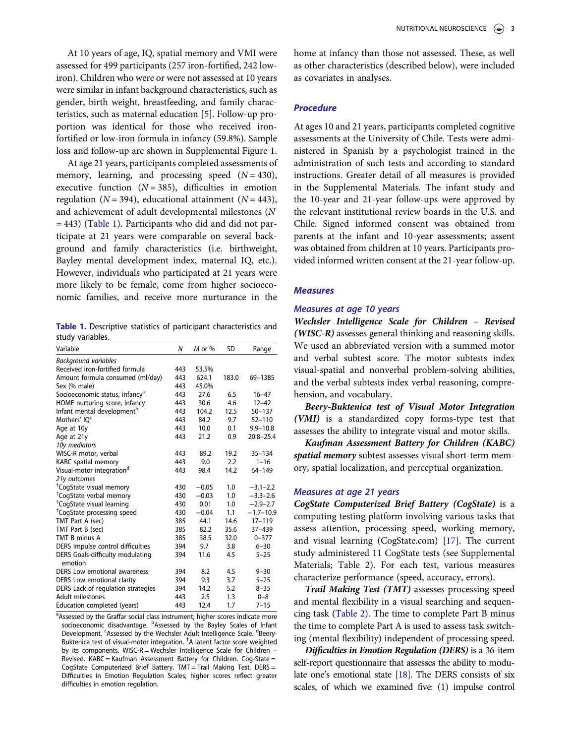At 10 years of age, IQ, spatial memory and VMI were assessed for 499 participants (257 iron-fortified, 242 lowiron). Children who were or were not assessed at 10 years were similar in infant background characteristics, such as gender, birth weight, breastfeeding, and family characteristics, such as maternal education [5]. Follow-up proportion was identical for those who received ironfortified or low-iron formula in infancy (59.8%). Sample loss and follow-up are shown in Supplemental Figure 1.

At age 21 years, participants completed assessments of memory, learning, and processing speed  $(N = 430)$ , executive function  $(N = 385)$ , difficulties in emotion regulation ( $N = 394$ ), educational attainment ( $N = 443$ ), and achievement of adult developmental milestones (N = 443) (Table 1). Participants who did and did not participate at 21 years were comparable on several background and family characteristics (i.e. birthweight, Bayley mental development index, maternal IQ, etc.). However, individuals who participated at 21 years were more likely to be female, come from higher socioeconomic families, and receive more nurturance in the

Table 1. Descriptive statistics of participant characteristics and study variables.

| Variable                                               | N   | $M$ or $%$ | <b>SD</b> | Range         |
|--------------------------------------------------------|-----|------------|-----------|---------------|
| <b>Background variables</b>                            |     |            |           |               |
| Received iron-fortified formula                        | 443 | 53.5%      |           |               |
| Amount formula consumed (ml/day)                       | 443 | 624.1      | 183.0     | 69-1385       |
| Sex (% male)                                           | 443 | 45.0%      |           |               |
| Socioeconomic status, infancy <sup>a</sup>             | 443 | 27.6       | 6.5       | $16 - 47$     |
| HOME nurturing score, infancy                          | 443 | 30.6       | 4.6       | $12 - 42$     |
| Infant mental development <sup>b</sup>                 | 443 | 104.2      | 12.5      | $50 - 137$    |
| Mothers' IO <sup>c</sup>                               | 443 | 84.2       | 9.7       | $52 - 110$    |
| Age at 10y                                             | 443 | 10.0       | 0.1       | $9.9 - 10.8$  |
| Age at 21y                                             | 443 | 21.2       | 0.9       | $20.8 - 25.4$ |
| 10y mediators                                          |     |            |           |               |
| WISC-R motor, verbal                                   | 443 | 89.2       | 19.2      | $35 - 134$    |
| KABC spatial memory                                    | 443 | 9.0        | 2.2       | $1 - 16$      |
| Visual-motor integration <sup>d</sup>                  | 443 | 98.4       | 14.2      | 64-149        |
| 21y outcomes                                           |     |            |           |               |
| <sup>†</sup> CogState visual memory                    | 430 | $-0.05$    | 1.0       | $-3.1 - 2.2$  |
| <sup>†</sup> CogState verbal memory                    | 430 | $-0.03$    | 1.0       | $-3.3 - 2.6$  |
| <sup>†</sup> CogState visual learning                  | 430 | 0.01       | 1.0       | $-2.9-2.7$    |
| <sup>†</sup> CogState processing speed                 | 430 | $-0.04$    | 1.1       | $-1.7-10.9$   |
| TMT Part A (sec)                                       | 385 | 44.1       | 14.6      | 17-119        |
| TMT Part B (sec)                                       | 385 | 82.2       | 35.6      | 37-439        |
| TMT B minus A                                          | 385 | 38.5       | 32.0      | $0 - 377$     |
| DERS Impulse control difficulties                      | 394 | 9.7        | 3.8       | $6 - 30$      |
| DERS Goals-difficulty modulating<br>emotion            | 394 | 11.6       | 4.5       | $5 - 25$      |
| DERS Low emotional awareness                           | 394 | 8.2        | 4.5       | $9 - 30$      |
| DERS Low emotional clarity                             | 394 | 9.3        | 3.7       | $5 - 25$      |
|                                                        | 394 | 14.2       | 5.2       | $8 - 35$      |
| DERS Lack of regulation strategies<br>Adult milestones | 443 | 2.5        | 1.3       | $0 - 8$       |
|                                                        |     |            |           |               |
| Education completed (years)                            | 443 | 12.4       | 1.7       | $7 - 15$      |

<sup>a</sup>Assessed by the Graffar social class instrument; higher scores indicate more socioeconomic disadvantage. <sup>b</sup>Assessed by the Bayley Scales of Infant Development. <sup>c</sup>Assessed by the Wechsler Adult Intelligence Scale. <sup>d</sup>Beery-Buktenica test of visual-motor integration. † A latent factor score weighted by its components. WISC-R = Wechsler Intelligence Scale for Children  $-$ Revised. KABC = Kaufman Assessment Battery for Children. Cog-State = CogState Computerized Brief Battery. TMT = Trail Making Test. DERS = Difficulties in Emotion Regulation Scales; higher scores reflect greater difficulties in emotion regulation.

home at infancy than those not assessed. These, as well as other characteristics (described below), were included as covariates in analyses.

#### **Procedure**

At ages 10 and 21 years, participants completed cognitive assessments at the University of Chile. Tests were administered in Spanish by a psychologist trained in the administration of such tests and according to standard instructions. Greater detail of all measures is provided in the Supplemental Materials. The infant study and the 10-year and 21-year follow-ups were approved by the relevant institutional review boards in the U.S. and Chile. Signed informed consent was obtained from parents at the infant and 10-year assessments; assent was obtained from children at 10 years. Participants provided informed written consent at the 21-year follow-up.

#### **Measures**

#### Measures at age 10 years

Wechsler Intelligence Scale for Children – Revised (WISC-R) assesses general thinking and reasoning skills. We used an abbreviated version with a summed motor and verbal subtest score. The motor subtests index visual-spatial and nonverbal problem-solving abilities, and the verbal subtests index verbal reasoning, comprehension, and vocabulary.

Beery-Buktenica test of Visual Motor Integration (VMI) is a standardized copy forms-type test that assesses the ability to integrate visual and motor skills.

Kaufman Assessment Battery for Children (KABC) spatial memory subtest assesses visual short-term memory, spatial localization, and perceptual organization.

#### Measures at age 21 years

CogState Computerized Brief Battery (CogState) is a computing testing platform involving various tasks that assess attention, processing speed, working memory, and visual learning (CogState.com) [17]. The current study administered 11 CogState tests (see Supplemental Materials; Table 2). For each test, various measures characterize performance (speed, accuracy, errors).

Trail Making Test (TMT) assesses processing speed and mental flexibility in a visual searching and sequencing task (Table 2). The time to complete Part B minus the time to complete Part A is used to assess task switching (mental flexibility) independent of processing speed.

Difficulties in Emotion Regulation (DERS) is a 36-item self-report questionnaire that assesses the ability to modulate one's emotional state [18]. The DERS consists of six scales, of which we examined five: (1) impulse control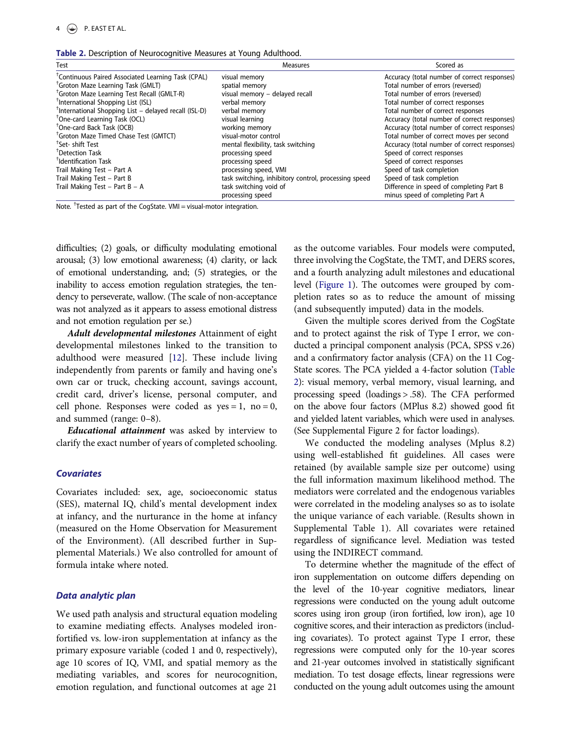Table 2. Description of Neurocognitive Measures at Young Adulthood.

| Test                                                              | <b>Measures</b>                                      | Scored as                                    |
|-------------------------------------------------------------------|------------------------------------------------------|----------------------------------------------|
| <sup>T</sup> Continuous Paired Associated Learning Task (CPAL)    | visual memory                                        | Accuracy (total number of correct responses) |
| <sup>†</sup> Groton Maze Learning Task (GMLT)                     | spatial memory                                       | Total number of errors (reversed)            |
| <sup>†</sup> Groton Maze Learning Test Recall (GMLT-R)            | visual memory - delayed recall                       | Total number of errors (reversed)            |
| <sup>†</sup> International Shopping List (ISL)                    | verbal memory                                        | Total number of correct responses            |
| <sup>†</sup> International Shopping List – delayed recall (ISL-D) | verbal memory                                        | Total number of correct responses            |
| <sup>†</sup> One-card Learning Task (OCL)                         | visual learning                                      | Accuracy (total number of correct responses) |
| <sup>†</sup> One-card Back Task (OCB)                             | working memory                                       | Accuracy (total number of correct responses) |
| <sup>†</sup> Groton Maze Timed Chase Test (GMTCT)                 | visual-motor control                                 | Total number of correct moves per second     |
| <sup>T</sup> Set- shift Test                                      | mental flexibility, task switching                   | Accuracy (total number of correct responses) |
| <sup>T</sup> Detection Task                                       | processing speed                                     | Speed of correct responses                   |
| <sup>†</sup> Identification Task                                  | processing speed                                     | Speed of correct responses                   |
| Trail Making Test - Part A                                        | processing speed, VMI                                | Speed of task completion                     |
| Trail Making Test - Part B                                        | task switching, inhibitory control, processing speed | Speed of task completion                     |
| Trail Making Test - Part B - A                                    | task switching void of                               | Difference in speed of completing Part B     |
|                                                                   | processing speed                                     | minus speed of completing Part A             |

Note.<sup>†</sup> Tested as part of the CogState. VMI = visual-motor integration.

difficulties; (2) goals, or difficulty modulating emotional arousal; (3) low emotional awareness; (4) clarity, or lack of emotional understanding, and; (5) strategies, or the inability to access emotion regulation strategies, the tendency to perseverate, wallow. (The scale of non-acceptance was not analyzed as it appears to assess emotional distress and not emotion regulation per se.)

Adult developmental milestones Attainment of eight developmental milestones linked to the transition to adulthood were measured [12]. These include living independently from parents or family and having one's own car or truck, checking account, savings account, credit card, driver's license, personal computer, and cell phone. Responses were coded as  $yes = 1$ , no = 0, and summed (range: 0–8).

**Educational attainment** was asked by interview to clarify the exact number of years of completed schooling.

## **Covariates**

Covariates included: sex, age, socioeconomic status (SES), maternal IQ, child's mental development index at infancy, and the nurturance in the home at infancy (measured on the Home Observation for Measurement of the Environment). (All described further in Supplemental Materials.) We also controlled for amount of formula intake where noted.

## Data analytic plan

We used path analysis and structural equation modeling to examine mediating effects. Analyses modeled ironfortified vs. low-iron supplementation at infancy as the primary exposure variable (coded 1 and 0, respectively), age 10 scores of IQ, VMI, and spatial memory as the mediating variables, and scores for neurocognition, emotion regulation, and functional outcomes at age 21

as the outcome variables. Four models were computed, three involving the CogState, the TMT, and DERS scores, and a fourth analyzing adult milestones and educational level (Figure 1). The outcomes were grouped by completion rates so as to reduce the amount of missing (and subsequently imputed) data in the models.

Given the multiple scores derived from the CogState and to protect against the risk of Type I error, we conducted a principal component analysis (PCA, SPSS v.26) and a confirmatory factor analysis (CFA) on the 11 Cog-State scores. The PCA yielded a 4-factor solution (Table 2): visual memory, verbal memory, visual learning, and processing speed (loadings > .58). The CFA performed on the above four factors (MPlus 8.2) showed good fit and yielded latent variables, which were used in analyses. (See Supplemental Figure 2 for factor loadings).

We conducted the modeling analyses (Mplus 8.2) using well-established fit guidelines. All cases were retained (by available sample size per outcome) using the full information maximum likelihood method. The mediators were correlated and the endogenous variables were correlated in the modeling analyses so as to isolate the unique variance of each variable. (Results shown in Supplemental Table 1). All covariates were retained regardless of significance level. Mediation was tested using the INDIRECT command.

To determine whether the magnitude of the effect of iron supplementation on outcome differs depending on the level of the 10-year cognitive mediators, linear regressions were conducted on the young adult outcome scores using iron group (iron fortified, low iron), age 10 cognitive scores, and their interaction as predictors (including covariates). To protect against Type I error, these regressions were computed only for the 10-year scores and 21-year outcomes involved in statistically significant mediation. To test dosage effects, linear regressions were conducted on the young adult outcomes using the amount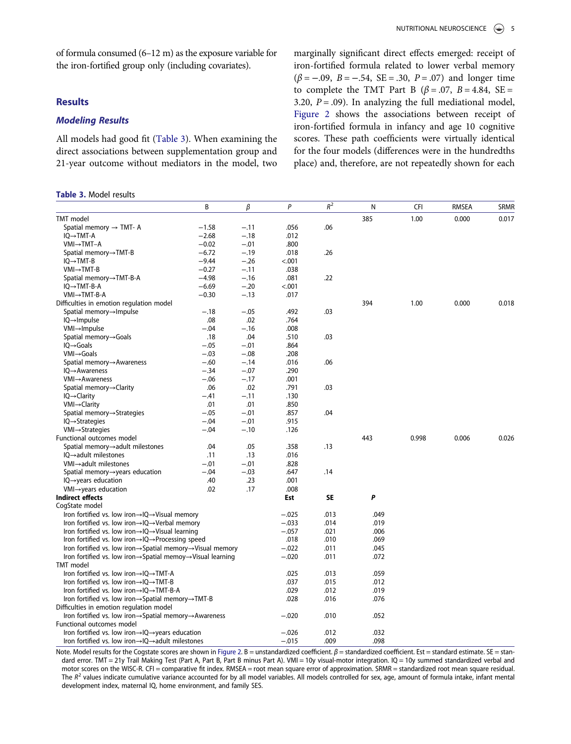of formula consumed (6–12 m) as the exposure variable for the iron-fortified group only (including covariates).

## **Results**

## Modeling Results

All models had good fit (Table 3). When examining the direct associations between supplementation group and 21-year outcome without mediators in the model, two

#### Table 3. Model results

marginally significant direct effects emerged: receipt of iron-fortified formula related to lower verbal memory  $(\beta = -.09, B = -.54, SE = .30, P = .07)$  and longer time to complete the TMT Part B ( $\beta$  = .07, B = 4.84, SE = 3.20,  $P = .09$ ). In analyzing the full mediational model, Figure 2 shows the associations between receipt of iron-fortified formula in infancy and age 10 cognitive scores. These path coefficients were virtually identical for the four models (differences were in the hundredths place) and, therefore, are not repeatedly shown for each

|                                                                                       | B       | β      | $\mathsf{P}$ | $R^2$ | N    | <b>CFI</b> | <b>RMSEA</b> | <b>SRMR</b> |
|---------------------------------------------------------------------------------------|---------|--------|--------------|-------|------|------------|--------------|-------------|
| TMT model                                                                             |         |        |              |       | 385  | 1.00       | 0.000        | 0.017       |
| Spatial memory $\rightarrow$ TMT- A                                                   | $-1.58$ | $-.11$ | .056         | .06   |      |            |              |             |
| IQ→TMT-A                                                                              | $-2.68$ | $-.18$ | .012         |       |      |            |              |             |
| VMI→TMT-A                                                                             | $-0.02$ | $-.01$ | .800         |       |      |            |              |             |
| Spatial memory $\rightarrow$ TMT-B                                                    | $-6.72$ | $-.19$ | .018         | .26   |      |            |              |             |
| $IQ \rightarrow TMT-B$                                                                | $-9.44$ | $-.26$ | < .001       |       |      |            |              |             |
| $VMI \rightarrow TMT-B$                                                               | $-0.27$ | $-.11$ | .038         |       |      |            |              |             |
| Spatial memory→TMT-B-A                                                                | $-4.98$ | $-.16$ | .081         | .22   |      |            |              |             |
| $IQ \rightarrow TMT-B-A$                                                              | $-6.69$ | $-.20$ | < .001       |       |      |            |              |             |
| VMI→TMT-B-A                                                                           | $-0.30$ | $-.13$ | .017         |       |      |            |              |             |
| Difficulties in emotion regulation model                                              |         |        |              |       | 394  | 1.00       | 0.000        | 0.018       |
| Spatial memory→Impulse                                                                | $-.18$  | $-.05$ | .492         | .03   |      |            |              |             |
| $IQ \rightarrow Impulse$                                                              | .08     | .02    | .764         |       |      |            |              |             |
| $VM \rightarrow Impulse$                                                              | $-.04$  | $-.16$ | .008         |       |      |            |              |             |
| Spatial memory→Goals                                                                  | .18     | .04    | .510         | .03   |      |            |              |             |
| $IQ \rightarrow$ Goals                                                                | $-.05$  | $-.01$ | .864         |       |      |            |              |             |
| $VMI \rightarrow$ Goals                                                               | $-.03$  | $-.08$ | .208         |       |      |            |              |             |
| Spatial memory→Awareness                                                              | $-.60$  | $-.14$ | .016         | .06   |      |            |              |             |
| $IQ \rightarrow Awareness$                                                            | $-.34$  | $-.07$ | .290         |       |      |            |              |             |
| $VM \rightarrow Awareness$                                                            | $-.06$  | $-.17$ | .001         |       |      |            |              |             |
| Spatial memory→Clarity                                                                | .06     | .02    | .791         | .03   |      |            |              |             |
| $IQ \rightarrow Clarity$                                                              | $-.41$  | $-.11$ | .130         |       |      |            |              |             |
| VMI→Clarity                                                                           | .01     | .01    | .850         |       |      |            |              |             |
| Spatial memory→Strategies                                                             | $-.05$  | $-.01$ | .857         | .04   |      |            |              |             |
| $IQ \rightarrow$ Strategies                                                           | $-.04$  | $-.01$ | .915         |       |      |            |              |             |
| $VMI \rightarrow Strategies$                                                          | $-.04$  | $-.10$ | .126         |       |      |            |              |             |
| Functional outcomes model                                                             |         |        |              |       | 443  | 0.998      | 0.006        | 0.026       |
| Spatial memory $\rightarrow$ adult milestones                                         | .04     | .05    | .358         | .13   |      |            |              |             |
| $IQ \rightarrow adult$ milestones                                                     | .11     | .13    | .016         |       |      |            |              |             |
| $VM \rightarrow adult$ milestones                                                     | $-.01$  | $-.01$ | .828         |       |      |            |              |             |
| Spatial memory→years education                                                        | $-.04$  | $-.03$ | .647         | .14   |      |            |              |             |
| $IQ \rightarrow years$ education                                                      | .40     | .23    | .001         |       |      |            |              |             |
| $VM \rightarrow years$ education                                                      | .02     | .17    | .008         |       |      |            |              |             |
| <b>Indirect effects</b>                                                               |         |        | Est          | SE    | P    |            |              |             |
| CogState model                                                                        |         |        |              |       |      |            |              |             |
| Iron fortified vs. low iron $\rightarrow$ IQ $\rightarrow$ Visual memory              |         |        | $-.025$      | .013  | .049 |            |              |             |
| Iron fortified vs. low iron $\rightarrow$ IQ $\rightarrow$ Verbal memory              |         |        | $-.033$      | .014  | .019 |            |              |             |
| Iron fortified vs. low iron $\rightarrow$ IQ $\rightarrow$ Visual learning            |         |        | $-.057$      | .021  | .006 |            |              |             |
| Iron fortified vs. low iron $\rightarrow$ IQ $\rightarrow$ Processing speed           |         |        | .018         | .010  | .069 |            |              |             |
| Iron fortified vs. low iron $\rightarrow$ Spatial memory $\rightarrow$ Visual memory  |         |        | $-.022$      | .011  | .045 |            |              |             |
| Iron fortified vs. low iron $\rightarrow$ Spatial memoy $\rightarrow$ Visual learning |         |        | $-.020$      | .011  | .072 |            |              |             |
| <b>TMT</b> model                                                                      |         |        |              |       |      |            |              |             |
| Iron fortified vs. low iron $\rightarrow$ IQ $\rightarrow$ TMT-A                      |         |        | .025         | .013  | .059 |            |              |             |
| Iron fortified vs. low iron $\rightarrow$ IQ $\rightarrow$ TMT-B                      |         |        | .037         | .015  | .012 |            |              |             |
| Iron fortified vs. low iron $\rightarrow$ IQ $\rightarrow$ TMT-B-A                    |         | .029   | .012         | .019  |      |            |              |             |
| Iron fortified vs. low iron→Spatial memory→TMT-B                                      |         |        | .028         | .016  | .076 |            |              |             |
| Difficulties in emotion regulation model                                              |         |        |              |       |      |            |              |             |
| Iron fortified vs. low iron $\rightarrow$ Spatial memory $\rightarrow$ Awareness      |         |        | $-.020$      | .010  | .052 |            |              |             |
| Functional outcomes model                                                             |         |        |              |       |      |            |              |             |
| Iron fortified vs. low iron $\rightarrow$ IQ $\rightarrow$ years education            |         |        | $-.026$      | .012  | .032 |            |              |             |
| Iron fortified vs. low iron $\rightarrow$ IQ $\rightarrow$ adult milestones           |         |        | $-.015$      | .009  | .098 |            |              |             |

Note. Model results for the Cogstate scores are shown in Figure 2. B = unstandardized coefficient.  $\beta$  = standardized coefficient. Est = standard estimate. SE = standard error. TMT = 21y Trail Making Test (Part A, Part B, Part B minus Part A). VMI = 10y visual-motor integration. IQ = 10y summed standardized verbal and motor scores on the WISC-R. CFI = comparative fit index. RMSEA = root mean square error of approximation. SRMR = standardized root mean square residual. The  $R^2$  values indicate cumulative variance accounted for by all model variables. All models controlled for sex, age, amount of formula intake, infant mental development index, maternal IQ, home environment, and family SES.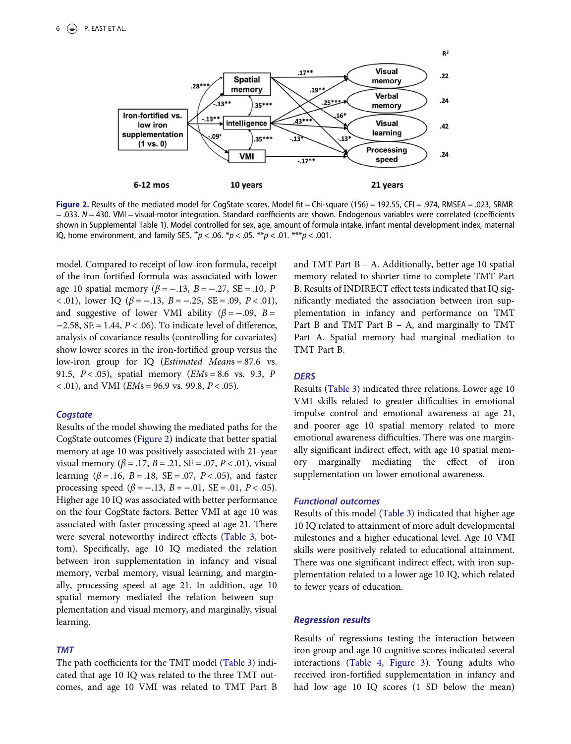

Figure 2. Results of the mediated model for CogState scores. Model fit = Chi-square (156) = 192.55, CFI = .974, RMSEA = .023, SRMR = .033. N = 430. VMI = visual-motor integration. Standard coefficients are shown. Endogenous variables were correlated (coefficients shown in Supplemental Table 1). Model controlled for sex, age, amount of formula intake, infant mental development index, maternal IQ, home environment, and family SES.  $^{+}p < .06$ .  $^{*}p < .05$ .  $^{**}p < .01$ .  $^{***}p < .001$ .

model. Compared to receipt of low-iron formula, receipt of the iron-fortified formula was associated with lower age 10 spatial memory ( $β = -.13$ ,  $B = -.27$ ,  $SE = .10$ , P <.01), lower IQ  $(\beta = -.13, B = -.25, SE = .09, P < .01)$ , and suggestive of lower VMI ability ( $\beta = -.09$ , B =  $-2.58$ , SE = 1.44,  $P < .06$ ). To indicate level of difference, analysis of covariance results (controlling for covariates) show lower scores in the iron-fortified group versus the low-iron group for IQ (Estimated Means = 87.6 vs. 91.5,  $P < .05$ ), spatial memory ( $EMs = 8.6$  vs. 9.3, P  $\leq$  .01), and VMI (*EMs* = 96.9 vs. 99.8, *P*  $\leq$  .05).

### **Cogstate**

Results of the model showing the mediated paths for the CogState outcomes (Figure 2) indicate that better spatial memory at age 10 was positively associated with 21-year visual memory (β = .17, B = .21, SE = .07, P < .01), visual learning ( $β = .16$ ,  $B = .18$ ,  $SE = .07$ ,  $P < .05$ ), and faster processing speed (β = −.13, B = −.01, SE = .01, P < .05). Higher age 10 IQ was associated with better performance on the four CogState factors. Better VMI at age 10 was associated with faster processing speed at age 21. There were several noteworthy indirect effects (Table 3, bottom). Specifically, age 10 IQ mediated the relation between iron supplementation in infancy and visual memory, verbal memory, visual learning, and marginally, processing speed at age 21. In addition, age 10 spatial memory mediated the relation between supplementation and visual memory, and marginally, visual learning.

## TMT

The path coefficients for the TMT model (Table 3) indicated that age 10 IQ was related to the three TMT outcomes, and age 10 VMI was related to TMT Part B and TMT Part B – A. Additionally, better age 10 spatial memory related to shorter time to complete TMT Part B. Results of INDIRECT effect tests indicated that IQ significantly mediated the association between iron supplementation in infancy and performance on TMT Part B and TMT Part B – A, and marginally to TMT Part A. Spatial memory had marginal mediation to TMT Part B.

#### **DERS**

Results (Table 3) indicated three relations. Lower age 10 VMI skills related to greater difficulties in emotional impulse control and emotional awareness at age 21, and poorer age 10 spatial memory related to more emotional awareness difficulties. There was one marginally significant indirect effect, with age 10 spatial memory marginally mediating the effect of iron supplementation on lower emotional awareness.

## Functional outcomes

Results of this model (Table 3) indicated that higher age 10 IQ related to attainment of more adult developmental milestones and a higher educational level. Age 10 VMI skills were positively related to educational attainment. There was one significant indirect effect, with iron supplementation related to a lower age 10 IQ, which related to fewer years of education.

#### Regression results

Results of regressions testing the interaction between iron group and age 10 cognitive scores indicated several interactions (Table 4, Figure 3). Young adults who received iron-fortified supplementation in infancy and had low age 10 IQ scores (1 SD below the mean)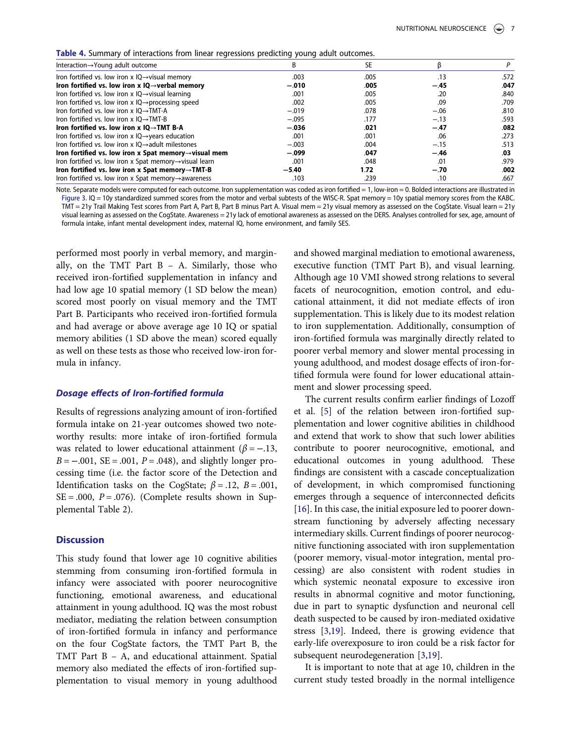Table 4. Summary of interactions from linear regressions predicting young adult outcomes.

| <b>Table +.</b> Sufficially be interactions from initial regressions predicting young addit buttonnes. |         |      |        |      |
|--------------------------------------------------------------------------------------------------------|---------|------|--------|------|
| Interaction $\rightarrow$ Young adult outcome                                                          |         | SE.  |        |      |
| Iron fortified vs. low iron x $IQ \rightarrow$ visual memory                                           | .003    | .005 | .13    | .572 |
| Iron fortified vs. low iron $x$ IQ $\rightarrow$ verbal memory                                         | $-.010$ | .005 | $-.45$ | .047 |
| Iron fortified vs. low iron x $IQ \rightarrow$ visual learning                                         | .001    | .005 | .20    | .840 |
| Iron fortified vs. low iron x $IQ \rightarrow$ processing speed                                        | .002    | .005 | .09    | .709 |
| Iron fortified vs. low iron x $IO \rightarrow TMT-A$                                                   | $-.019$ | .078 | $-.06$ | .810 |
| Iron fortified vs. low iron x $IO \rightarrow TMT-B$                                                   | $-.095$ | .177 | $-.13$ | .593 |
| Iron fortified vs. low iron $x$ IQ $\rightarrow$ TMT B-A                                               | $-.036$ | .021 | $-.47$ | .082 |
| Iron fortified vs. low iron $x$ IQ $\rightarrow$ years education                                       | .001    | .001 | .06    | .273 |
| Iron fortified vs. low iron $x$ IO $\rightarrow$ adult milestones                                      | $-.003$ | .004 | $-.15$ | .513 |
| Iron fortified vs. low iron $x$ Spat memory $\rightarrow$ visual mem                                   | $-.099$ | .047 | $-.46$ | .03  |
| Iron fortified vs. low iron x Spat memory $\rightarrow$ visual learn                                   | .001    | .048 | .01    | .979 |
| Iron fortified vs. low iron x Spat memory $\rightarrow$ TMT-B                                          | $-5.40$ | 1.72 | $-.70$ | .002 |
| Iron fortified vs. low iron x Spat memory $\rightarrow$ awareness                                      | .103    | .239 | .10    | .667 |

Note. Separate models were computed for each outcome. Iron supplementation was coded as iron fortified = 1, low-iron = 0. Bolded interactions are illustrated in Figure 3. IQ = 10y standardized summed scores from the motor and verbal subtests of the WISC-R. Spat memory = 10y spatial memory scores from the KABC. TMT = 21y Trail Making Test scores from Part A, Part B, Part B minus Part A. Visual mem = 21y visual memory as assessed on the CogState. Visual learn = 21y visual learning as assessed on the CogState. Awareness = 21y lack of emotional awareness as assessed on the DERS. Analyses controlled for sex, age, amount of formula intake, infant mental development index, maternal IQ, home environment, and family SES.

performed most poorly in verbal memory, and marginally, on the TMT Part  $B - A$ . Similarly, those who received iron-fortified supplementation in infancy and had low age 10 spatial memory (1 SD below the mean) scored most poorly on visual memory and the TMT Part B. Participants who received iron-fortified formula and had average or above average age 10 IQ or spatial memory abilities (1 SD above the mean) scored equally as well on these tests as those who received low-iron formula in infancy.

#### Dosage effects of Iron-fortified formula

Results of regressions analyzing amount of iron-fortified formula intake on 21-year outcomes showed two noteworthy results: more intake of iron-fortified formula was related to lower educational attainment ( $\beta$  = -.13,  $B = -.001$ ,  $SE = .001$ ,  $P = .048$ ), and slightly longer processing time (i.e. the factor score of the Detection and Identification tasks on the CogState;  $\beta = .12$ ,  $B = .001$ ,  $SE = .000$ ,  $P = .076$ ). (Complete results shown in Supplemental Table 2).

#### **Discussion**

This study found that lower age 10 cognitive abilities stemming from consuming iron-fortified formula in infancy were associated with poorer neurocognitive functioning, emotional awareness, and educational attainment in young adulthood. IQ was the most robust mediator, mediating the relation between consumption of iron-fortified formula in infancy and performance on the four CogState factors, the TMT Part B, the TMT Part B – A, and educational attainment. Spatial memory also mediated the effects of iron-fortified supplementation to visual memory in young adulthood and showed marginal mediation to emotional awareness, executive function (TMT Part B), and visual learning. Although age 10 VMI showed strong relations to several facets of neurocognition, emotion control, and educational attainment, it did not mediate effects of iron supplementation. This is likely due to its modest relation to iron supplementation. Additionally, consumption of iron-fortified formula was marginally directly related to poorer verbal memory and slower mental processing in young adulthood, and modest dosage effects of iron-fortified formula were found for lower educational attainment and slower processing speed.

The current results confirm earlier findings of Lozoff et al. [5] of the relation between iron-fortified supplementation and lower cognitive abilities in childhood and extend that work to show that such lower abilities contribute to poorer neurocognitive, emotional, and educational outcomes in young adulthood. These findings are consistent with a cascade conceptualization of development, in which compromised functioning emerges through a sequence of interconnected deficits [16]. In this case, the initial exposure led to poorer downstream functioning by adversely affecting necessary intermediary skills. Current findings of poorer neurocognitive functioning associated with iron supplementation (poorer memory, visual-motor integration, mental processing) are also consistent with rodent studies in which systemic neonatal exposure to excessive iron results in abnormal cognitive and motor functioning, due in part to synaptic dysfunction and neuronal cell death suspected to be caused by iron-mediated oxidative stress [3,19]. Indeed, there is growing evidence that early-life overexposure to iron could be a risk factor for subsequent neurodegeneration [3,19].

It is important to note that at age 10, children in the current study tested broadly in the normal intelligence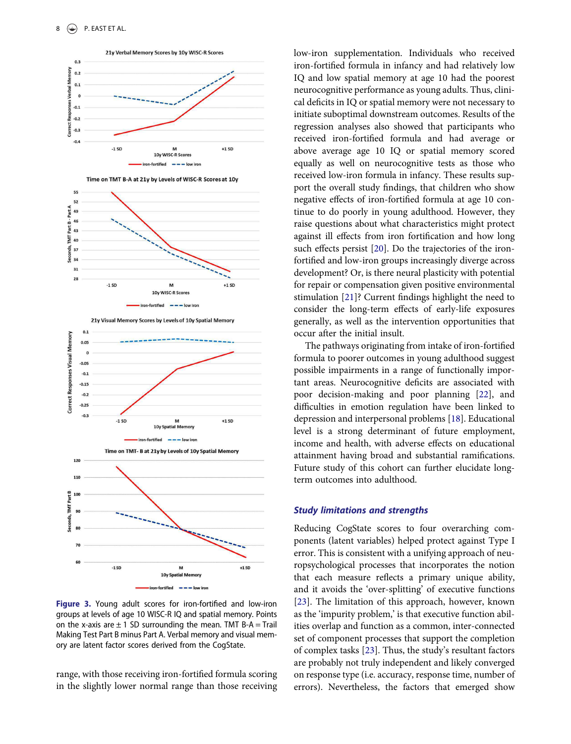



n-fortified

 $\frac{1}{1}$   $\frac{1}{1}$   $\frac{1}{1}$   $\frac{1}{1}$   $\frac{1}{1}$   $\frac{1}{1}$   $\frac{1}{1}$   $\frac{1}{1}$   $\frac{1}{1}$   $\frac{1}{1}$ 





Figure 3. Young adult scores for iron-fortified and low-iron groups at levels of age 10 WISC-R IQ and spatial memory. Points on the x-axis are  $\pm$  1 SD surrounding the mean. TMT B-A = Trail Making Test Part B minus Part A. Verbal memory and visual memory are latent factor scores derived from the CogState.

range, with those receiving iron-fortified formula scoring in the slightly lower normal range than those receiving low-iron supplementation. Individuals who received iron-fortified formula in infancy and had relatively low IQ and low spatial memory at age 10 had the poorest neurocognitive performance as young adults. Thus, clinical deficits in IQ or spatial memory were not necessary to initiate suboptimal downstream outcomes. Results of the regression analyses also showed that participants who received iron-fortified formula and had average or above average age 10 IQ or spatial memory scored equally as well on neurocognitive tests as those who received low-iron formula in infancy. These results support the overall study findings, that children who show negative effects of iron-fortified formula at age 10 continue to do poorly in young adulthood. However, they raise questions about what characteristics might protect against ill effects from iron fortification and how long such effects persist [20]. Do the trajectories of the ironfortified and low-iron groups increasingly diverge across development? Or, is there neural plasticity with potential for repair or compensation given positive environmental stimulation [21]? Current findings highlight the need to consider the long-term effects of early-life exposures generally, as well as the intervention opportunities that occur after the initial insult.

The pathways originating from intake of iron-fortified formula to poorer outcomes in young adulthood suggest possible impairments in a range of functionally important areas. Neurocognitive deficits are associated with poor decision-making and poor planning [22], and difficulties in emotion regulation have been linked to depression and interpersonal problems [18]. Educational level is a strong determinant of future employment, income and health, with adverse effects on educational attainment having broad and substantial ramifications. Future study of this cohort can further elucidate longterm outcomes into adulthood.

#### Study limitations and strengths

Reducing CogState scores to four overarching components (latent variables) helped protect against Type I error. This is consistent with a unifying approach of neuropsychological processes that incorporates the notion that each measure reflects a primary unique ability, and it avoids the 'over-splitting' of executive functions [23]. The limitation of this approach, however, known as the 'impurity problem,' is that executive function abilities overlap and function as a common, inter-connected set of component processes that support the completion of complex tasks [23]. Thus, the study's resultant factors are probably not truly independent and likely converged on response type (i.e. accuracy, response time, number of errors). Nevertheless, the factors that emerged show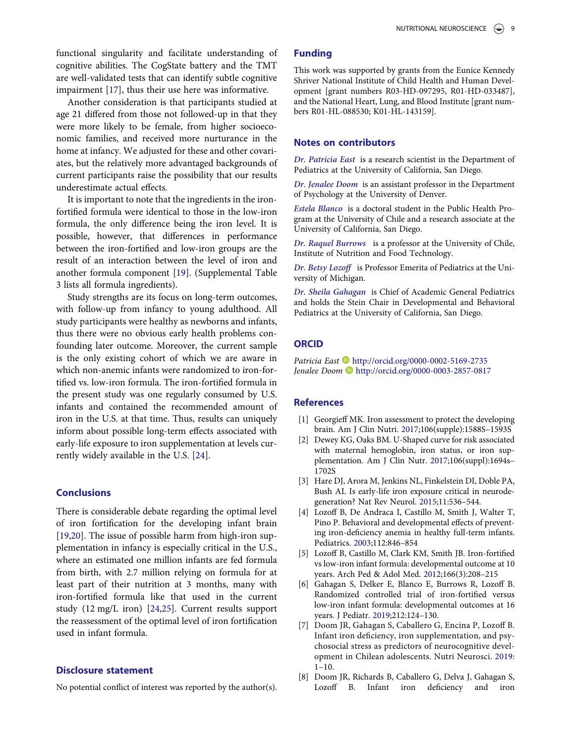functional singularity and facilitate understanding of cognitive abilities. The CogState battery and the TMT are well-validated tests that can identify subtle cognitive impairment [17], thus their use here was informative.

Another consideration is that participants studied at age 21 differed from those not followed-up in that they were more likely to be female, from higher socioeconomic families, and received more nurturance in the home at infancy. We adjusted for these and other covariates, but the relatively more advantaged backgrounds of current participants raise the possibility that our results underestimate actual effects.

It is important to note that the ingredients in the ironfortified formula were identical to those in the low-iron formula, the only difference being the iron level. It is possible, however, that differences in performance between the iron-fortified and low-iron groups are the result of an interaction between the level of iron and another formula component [19]. (Supplemental Table 3 lists all formula ingredients).

Study strengths are its focus on long-term outcomes, with follow-up from infancy to young adulthood. All study participants were healthy as newborns and infants, thus there were no obvious early health problems confounding later outcome. Moreover, the current sample is the only existing cohort of which we are aware in which non-anemic infants were randomized to iron-fortified vs. low-iron formula. The iron-fortified formula in the present study was one regularly consumed by U.S. infants and contained the recommended amount of iron in the U.S. at that time. Thus, results can uniquely inform about possible long-term effects associated with early-life exposure to iron supplementation at levels currently widely available in the U.S. [24].

## **Conclusions**

There is considerable debate regarding the optimal level of iron fortification for the developing infant brain [19,20]. The issue of possible harm from high-iron supplementation in infancy is especially critical in the U.S., where an estimated one million infants are fed formula from birth, with 2.7 million relying on formula for at least part of their nutrition at 3 months, many with iron-fortified formula like that used in the current study (12 mg/L iron) [24,25]. Current results support the reassessment of the optimal level of iron fortification used in infant formula.

## Disclosure statement

No potential conflict of interest was reported by the author(s).

### Funding

This work was supported by grants from the Eunice Kennedy Shriver National Institute of Child Health and Human Development [grant numbers R03-HD-097295, R01-HD-033487], and the National Heart, Lung, and Blood Institute [grant numbers R01-HL-088530; K01-HL-143159].

#### Notes on contributors

Dr. Patricia East is a research scientist in the Department of Pediatrics at the University of California, San Diego.

Dr. Jenalee Doom is an assistant professor in the Department of Psychology at the University of Denver.

Estela Blanco is a doctoral student in the Public Health Program at the University of Chile and a research associate at the University of California, San Diego.

Dr. Raquel Burrows is a professor at the University of Chile, Institute of Nutrition and Food Technology.

Dr. Betsy Lozoff is Professor Emerita of Pediatrics at the University of Michigan.

Dr. Sheila Gahagan is Chief of Academic General Pediatrics and holds the Stein Chair in Developmental and Behavioral Pediatrics at the University of California, San Diego.

## **ORCID**

Patricia East http://orcid.org/0000-0002-5169-2735 Jenalee Doom http://orcid.org/0000-0003-2857-0817

## **References**

- [1] Georgieff MK. Iron assessment to protect the developing brain. Am J Clin Nutri. 2017;106(supple):1588S–1593S
- [2] Dewey KG, Oaks BM. U-Shaped curve for risk associated with maternal hemoglobin, iron status, or iron supplementation. Am J Clin Nutr. 2017;106(suppl):1694s– 1702S
- [3] Hare DJ, Arora M, Jenkins NL, Finkelstein DI, Doble PA, Bush AI. Is early-life iron exposure critical in neurodegeneration? Nat Rev Neurol. 2015;11:536–544.
- [4] Lozoff B, De Andraca I, Castillo M, Smith J, Walter T, Pino P. Behavioral and developmental effects of preventing iron-deficiency anemia in healthy full-term infants. Pediatrics. 2003;112:846–854
- [5] Lozoff B, Castillo M, Clark KM, Smith JB. Iron-fortified vs low-iron infant formula: developmental outcome at 10 years. Arch Ped & Adol Med. 2012;166(3):208–215
- [6] Gahagan S, Delker E, Blanco E, Burrows R, Lozoff B. Randomized controlled trial of iron-fortified versus low-iron infant formula: developmental outcomes at 16 years. J Pediatr. 2019;212:124–130.
- [7] Doom JR, Gahagan S, Caballero G, Encina P, Lozoff B. Infant iron deficiency, iron supplementation, and psychosocial stress as predictors of neurocognitive development in Chilean adolescents. Nutri Neurosci. 2019:  $1-10.$
- [8] Doom JR, Richards B, Caballero G, Delva J, Gahagan S, Lozoff B. Infant iron deficiency and iron